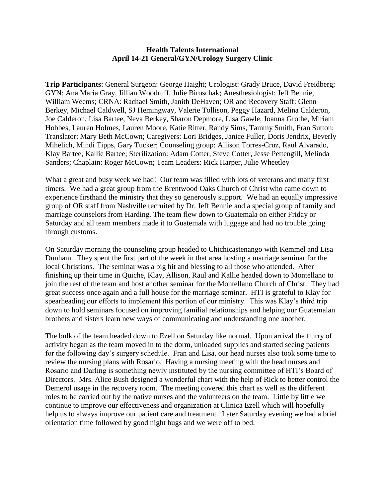## **Health Talents International April 14-21 General/GYN/Urology Surgery Clinic**

**Trip Participants**: General Surgeon: George Haight; Urologist: Grady Bruce, David Freidberg; GYN: Ana Maria Gray, Jillian Woodruff, Julie Biroschak; Anesthesiologist: Jeff Bennie, William Weems; CRNA: Rachael Smith, Janith DeHaven; OR and Recovery Staff: Glenn Berkey, Michael Caldwell, SJ Hemingway, Valerie Tollison, Peggy Hazard, Melina Calderon, Joe Calderon, Lisa Bartee, Neva Berkey, Sharon Depmore, Lisa Gawle, Joanna Grothe, Miriam Hobbes, Lauren Holmes, Lauren Moore, Katie Ritter, Randy Sims, Tammy Smith, Fran Sutton; Translator: Mary Beth McCown; Caregivers: Lori Bridges, Janice Fuller, Doris Jendrix, Beverly Mihelich, Mindi Tipps, Gary Tucker; Counseling group: Allison Torres-Cruz, Raul Alvarado, Klay Bartee, Kallie Bartee; Sterilization: Adam Cotter, Steve Cotter, Jesse Pettengill, Melinda Sanders; Chaplain: Roger McCown; Team Leaders: Rick Harper, Julie Wheetley

What a great and busy week we had! Our team was filled with lots of veterans and many first timers. We had a great group from the Brentwood Oaks Church of Christ who came down to experience firsthand the ministry that they so generously support. We had an equally impressive group of OR staff from Nashville recruited by Dr. Jeff Bennie and a special group of family and marriage counselors from Harding. The team flew down to Guatemala on either Friday or Saturday and all team members made it to Guatemala with luggage and had no trouble going through customs.

On Saturday morning the counseling group headed to Chichicastenango with Kemmel and Lisa Dunham. They spent the first part of the week in that area hosting a marriage seminar for the local Christians. The seminar was a big hit and blessing to all those who attended. After finishing up their time in Quiche, Klay, Allison, Raul and Kallie headed down to Montellano to join the rest of the team and host another seminar for the Montellano Church of Christ. They had great success once again and a full house for the marriage seminar. HTI is grateful to Klay for spearheading our efforts to implement this portion of our ministry. This was Klay's third trip down to hold seminars focused on improving familial relationships and helping our Guatemalan brothers and sisters learn new ways of communicating and understanding one another.

The bulk of the team headed down to Ezell on Saturday like normal. Upon arrival the flurry of activity began as the team moved in to the dorm, unloaded supplies and started seeing patients for the following day's surgery schedule. Fran and Lisa, our head nurses also took some time to review the nursing plans with Rosario. Having a nursing meeting with the head nurses and Rosario and Darling is something newly instituted by the nursing committee of HTI's Board of Directors. Mrs. Alice Bush designed a wonderful chart with the help of Rick to better control the Demerol usage in the recovery room. The meeting covered this chart as well as the different roles to be carried out by the native nurses and the volunteers on the team. Little by little we continue to improve our effectiveness and organization at Clinica Ezell which will hopefully help us to always improve our patient care and treatment. Later Saturday evening we had a brief orientation time followed by good night hugs and we were off to bed.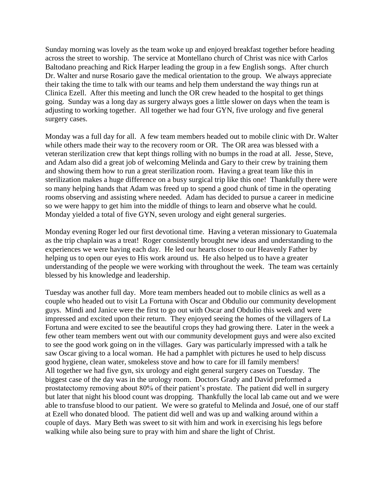Sunday morning was lovely as the team woke up and enjoyed breakfast together before heading across the street to worship. The service at Montellano church of Christ was nice with Carlos Baltodano preaching and Rick Harper leading the group in a few English songs. After church Dr. Walter and nurse Rosario gave the medical orientation to the group. We always appreciate their taking the time to talk with our teams and help them understand the way things run at Clinica Ezell. After this meeting and lunch the OR crew headed to the hospital to get things going. Sunday was a long day as surgery always goes a little slower on days when the team is adjusting to working together. All together we had four GYN, five urology and five general surgery cases.

Monday was a full day for all. A few team members headed out to mobile clinic with Dr. Walter while others made their way to the recovery room or OR. The OR area was blessed with a veteran sterilization crew that kept things rolling with no bumps in the road at all. Jesse, Steve, and Adam also did a great job of welcoming Melinda and Gary to their crew by training them and showing them how to run a great sterilization room. Having a great team like this in sterilization makes a huge difference on a busy surgical trip like this one! Thankfully there were so many helping hands that Adam was freed up to spend a good chunk of time in the operating rooms observing and assisting where needed. Adam has decided to pursue a career in medicine so we were happy to get him into the middle of things to learn and observe what he could. Monday yielded a total of five GYN, seven urology and eight general surgeries.

Monday evening Roger led our first devotional time. Having a veteran missionary to Guatemala as the trip chaplain was a treat! Roger consistently brought new ideas and understanding to the experiences we were having each day. He led our hearts closer to our Heavenly Father by helping us to open our eyes to His work around us. He also helped us to have a greater understanding of the people we were working with throughout the week. The team was certainly blessed by his knowledge and leadership.

Tuesday was another full day. More team members headed out to mobile clinics as well as a couple who headed out to visit La Fortuna with Oscar and Obdulio our community development guys. Mindi and Janice were the first to go out with Oscar and Obdulio this week and were impressed and excited upon their return. They enjoyed seeing the homes of the villagers of La Fortuna and were excited to see the beautiful crops they had growing there. Later in the week a few other team members went out with our community development guys and were also excited to see the good work going on in the villages. Gary was particularly impressed with a talk he saw Oscar giving to a local woman. He had a pamphlet with pictures he used to help discuss good hygiene, clean water, smokeless stove and how to care for ill family members! All together we had five gyn, six urology and eight general surgery cases on Tuesday. The biggest case of the day was in the urology room. Doctors Grady and David preformed a prostatectomy removing about 80% of their patient's prostate. The patient did well in surgery but later that night his blood count was dropping. Thankfully the local lab came out and we were able to transfuse blood to our patient. We were so grateful to Melinda and Josué, one of our staff at Ezell who donated blood. The patient did well and was up and walking around within a couple of days. Mary Beth was sweet to sit with him and work in exercising his legs before walking while also being sure to pray with him and share the light of Christ.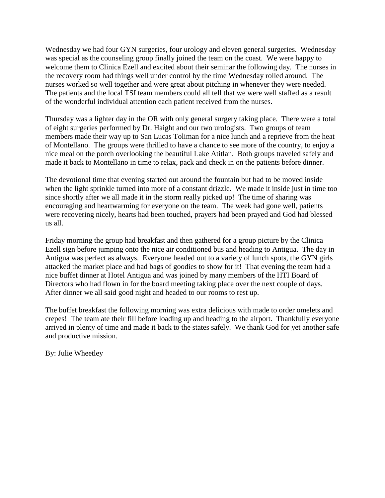Wednesday we had four GYN surgeries, four urology and eleven general surgeries. Wednesday was special as the counseling group finally joined the team on the coast. We were happy to welcome them to Clinica Ezell and excited about their seminar the following day. The nurses in the recovery room had things well under control by the time Wednesday rolled around. The nurses worked so well together and were great about pitching in whenever they were needed. The patients and the local TSI team members could all tell that we were well staffed as a result of the wonderful individual attention each patient received from the nurses.

Thursday was a lighter day in the OR with only general surgery taking place. There were a total of eight surgeries performed by Dr. Haight and our two urologists. Two groups of team members made their way up to San Lucas Toliman for a nice lunch and a reprieve from the heat of Montellano. The groups were thrilled to have a chance to see more of the country, to enjoy a nice meal on the porch overlooking the beautiful Lake Atitlan. Both groups traveled safely and made it back to Montellano in time to relax, pack and check in on the patients before dinner.

The devotional time that evening started out around the fountain but had to be moved inside when the light sprinkle turned into more of a constant drizzle. We made it inside just in time too since shortly after we all made it in the storm really picked up! The time of sharing was encouraging and heartwarming for everyone on the team. The week had gone well, patients were recovering nicely, hearts had been touched, prayers had been prayed and God had blessed us all.

Friday morning the group had breakfast and then gathered for a group picture by the Clinica Ezell sign before jumping onto the nice air conditioned bus and heading to Antigua. The day in Antigua was perfect as always. Everyone headed out to a variety of lunch spots, the GYN girls attacked the market place and had bags of goodies to show for it! That evening the team had a nice buffet dinner at Hotel Antigua and was joined by many members of the HTI Board of Directors who had flown in for the board meeting taking place over the next couple of days. After dinner we all said good night and headed to our rooms to rest up.

The buffet breakfast the following morning was extra delicious with made to order omelets and crepes! The team ate their fill before loading up and heading to the airport. Thankfully everyone arrived in plenty of time and made it back to the states safely. We thank God for yet another safe and productive mission.

By: Julie Wheetley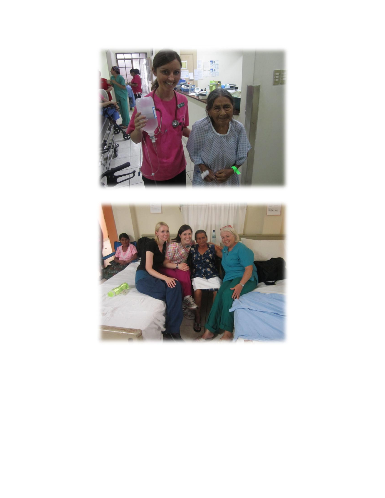